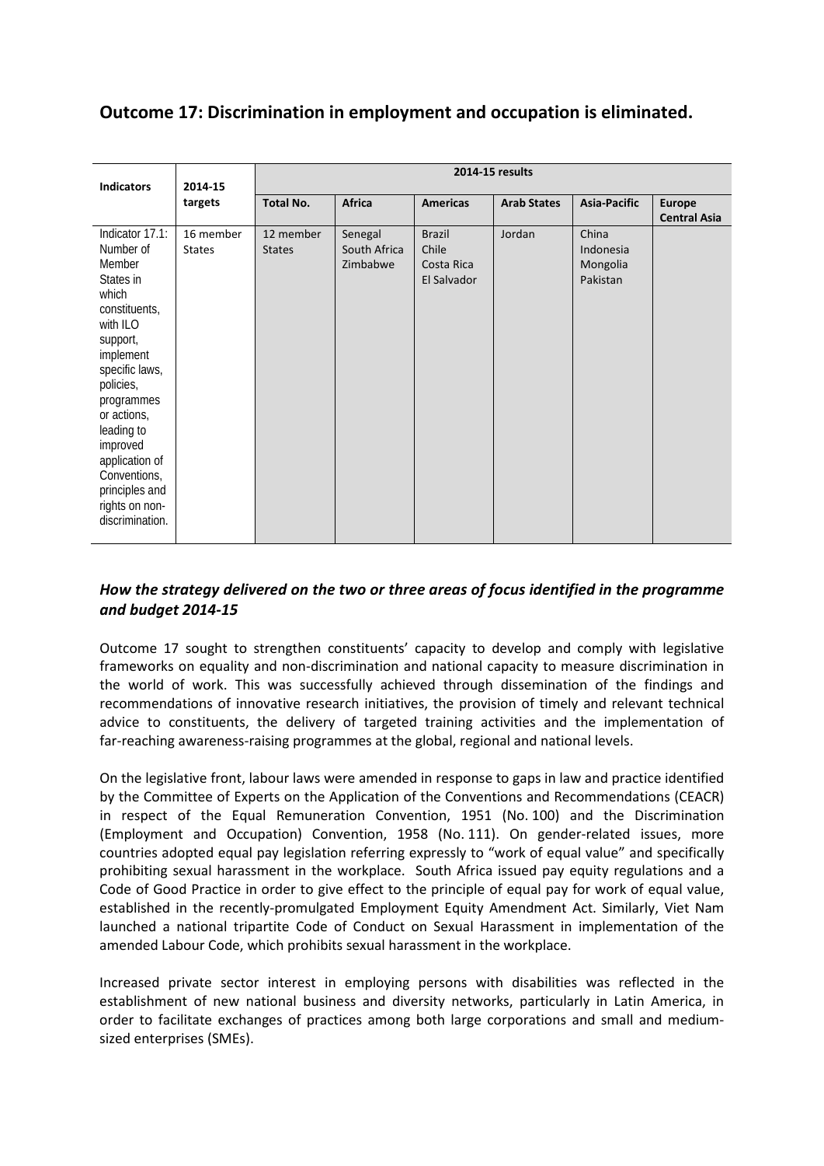# **Outcome 17: Discrimination in employment and occupation is eliminated.**

| <b>Indicators</b>                                                                                                                                                                                                                                                                                 | 2014-15                    | 2014-15 results            |                                     |                                                     |                    |                                            |                                      |  |
|---------------------------------------------------------------------------------------------------------------------------------------------------------------------------------------------------------------------------------------------------------------------------------------------------|----------------------------|----------------------------|-------------------------------------|-----------------------------------------------------|--------------------|--------------------------------------------|--------------------------------------|--|
|                                                                                                                                                                                                                                                                                                   | targets                    | <b>Total No.</b>           | Africa                              | <b>Americas</b>                                     | <b>Arab States</b> | Asia-Pacific                               | <b>Europe</b><br><b>Central Asia</b> |  |
| Indicator 17.1:<br>Number of<br>Member<br>States in<br>which<br>constituents,<br>with ILO<br>support,<br>implement<br>specific laws,<br>policies,<br>programmes<br>or actions,<br>leading to<br>improved<br>application of<br>Conventions,<br>principles and<br>rights on non-<br>discrimination. | 16 member<br><b>States</b> | 12 member<br><b>States</b> | Senegal<br>South Africa<br>Zimbabwe | <b>Brazil</b><br>Chile<br>Costa Rica<br>El Salvador | Jordan             | China<br>Indonesia<br>Mongolia<br>Pakistan |                                      |  |

## *How the strategy delivered on the two or three areas of focus identified in the programme and budget 2014-15*

Outcome 17 sought to strengthen constituents' capacity to develop and comply with legislative frameworks on equality and non-discrimination and national capacity to measure discrimination in the world of work. This was successfully achieved through dissemination of the findings and recommendations of innovative research initiatives, the provision of timely and relevant technical advice to constituents, the delivery of targeted training activities and the implementation of far-reaching awareness-raising programmes at the global, regional and national levels.

On the legislative front, labour laws were amended in response to gaps in law and practice identified by the Committee of Experts on the Application of the Conventions and Recommendations (CEACR) in respect of the Equal Remuneration Convention, 1951 (No. 100) and the Discrimination (Employment and Occupation) Convention, 1958 (No. 111). On gender-related issues, more countries adopted equal pay legislation referring expressly to "work of equal value" and specifically prohibiting sexual harassment in the workplace. South Africa issued pay equity regulations and a Code of Good Practice in order to give effect to the principle of equal pay for work of equal value, established in the recently-promulgated Employment Equity Amendment Act. Similarly, Viet Nam launched a national tripartite Code of Conduct on Sexual Harassment in implementation of the amended Labour Code, which prohibits sexual harassment in the workplace.

Increased private sector interest in employing persons with disabilities was reflected in the establishment of new national business and diversity networks, particularly in Latin America, in order to facilitate exchanges of practices among both large corporations and small and mediumsized enterprises (SMEs).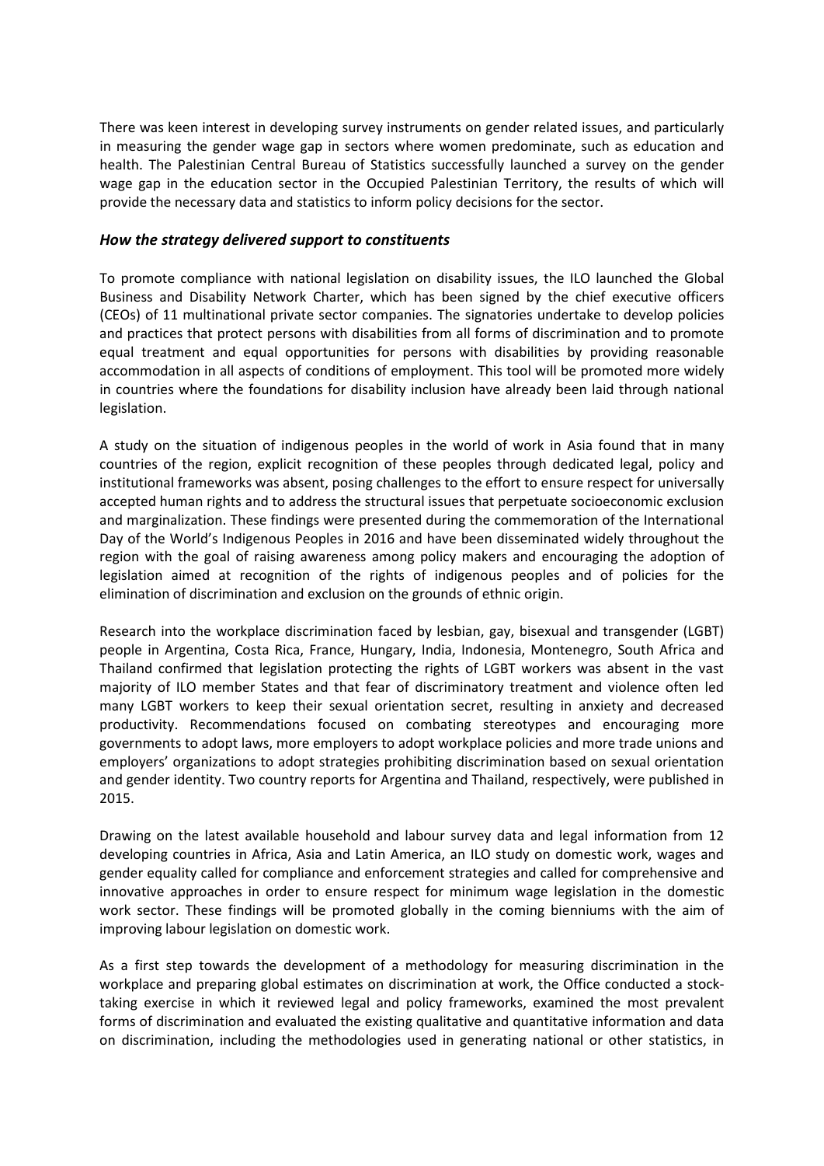There was keen interest in developing survey instruments on gender related issues, and particularly in measuring the gender wage gap in sectors where women predominate, such as education and health. The Palestinian Central Bureau of Statistics successfully launched a survey on the gender wage gap in the education sector in the Occupied Palestinian Territory, the results of which will provide the necessary data and statistics to inform policy decisions for the sector.

#### *How the strategy delivered support to constituents*

To promote compliance with national legislation on disability issues, the ILO launched the Global Business and Disability Network Charter, which has been signed by the chief executive officers (CEOs) of 11 multinational private sector companies. The signatories undertake to develop policies and practices that protect persons with disabilities from all forms of discrimination and to promote equal treatment and equal opportunities for persons with disabilities by providing reasonable accommodation in all aspects of conditions of employment. This tool will be promoted more widely in countries where the foundations for disability inclusion have already been laid through national legislation.

A study on the situation of indigenous peoples in the world of work in Asia found that in many countries of the region, explicit recognition of these peoples through dedicated legal, policy and institutional frameworks was absent, posing challenges to the effort to ensure respect for universally accepted human rights and to address the structural issues that perpetuate socioeconomic exclusion and marginalization. These findings were presented during the commemoration of the International Day of the World's Indigenous Peoples in 2016 and have been disseminated widely throughout the region with the goal of raising awareness among policy makers and encouraging the adoption of legislation aimed at recognition of the rights of indigenous peoples and of policies for the elimination of discrimination and exclusion on the grounds of ethnic origin.

Research into the workplace discrimination faced by lesbian, gay, bisexual and transgender (LGBT) people in Argentina, Costa Rica, France, Hungary, India, Indonesia, Montenegro, South Africa and Thailand confirmed that legislation protecting the rights of LGBT workers was absent in the vast majority of ILO member States and that fear of discriminatory treatment and violence often led many LGBT workers to keep their sexual orientation secret, resulting in anxiety and decreased productivity. Recommendations focused on combating stereotypes and encouraging more governments to adopt laws, more employers to adopt workplace policies and more trade unions and employers' organizations to adopt strategies prohibiting discrimination based on sexual orientation and gender identity. Two country reports for Argentina and Thailand, respectively, were published in 2015.

Drawing on the latest available household and labour survey data and legal information from 12 developing countries in Africa, Asia and Latin America, an ILO study on domestic work, wages and gender equality called for compliance and enforcement strategies and called for comprehensive and innovative approaches in order to ensure respect for minimum wage legislation in the domestic work sector. These findings will be promoted globally in the coming bienniums with the aim of improving labour legislation on domestic work.

As a first step towards the development of a methodology for measuring discrimination in the workplace and preparing global estimates on discrimination at work, the Office conducted a stocktaking exercise in which it reviewed legal and policy frameworks, examined the most prevalent forms of discrimination and evaluated the existing qualitative and quantitative information and data on discrimination, including the methodologies used in generating national or other statistics, in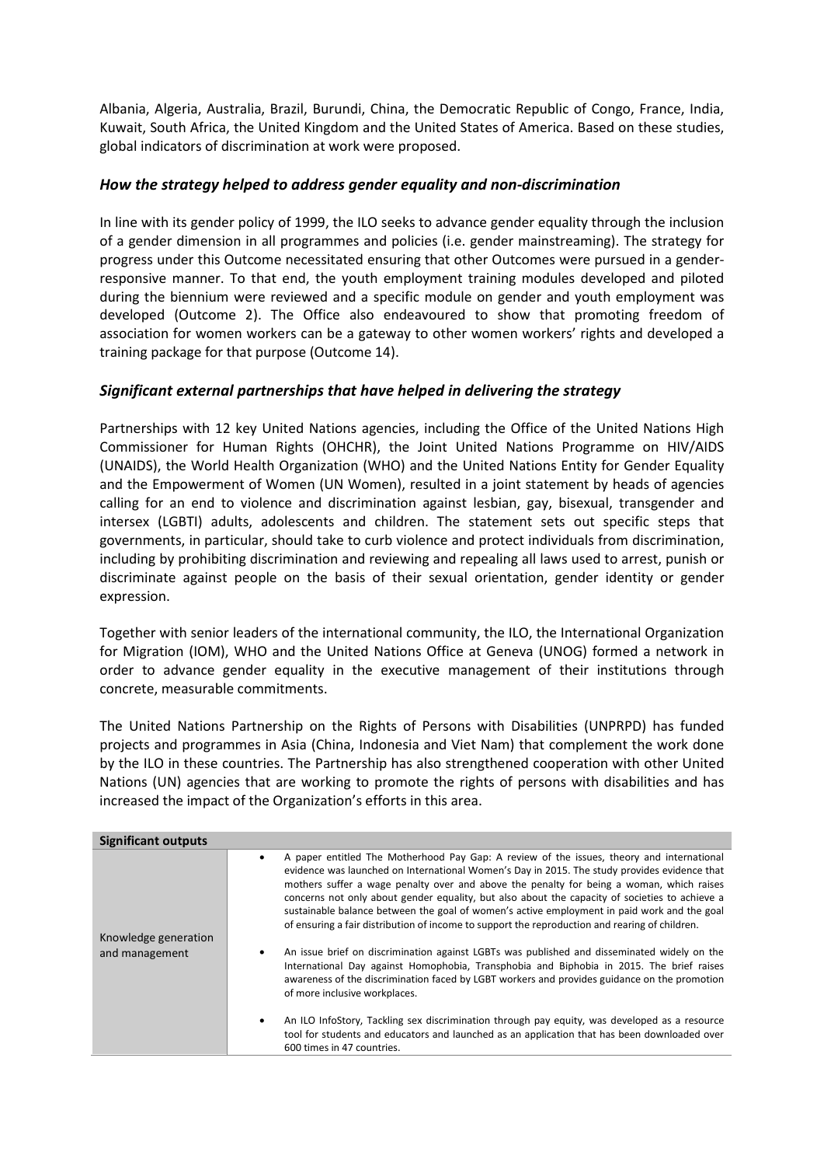Albania, Algeria, Australia, Brazil, Burundi, China, the Democratic Republic of Congo, France, India, Kuwait, South Africa, the United Kingdom and the United States of America. Based on these studies, global indicators of discrimination at work were proposed.

### *How the strategy helped to address gender equality and non-discrimination*

In line with its gender policy of 1999, the ILO seeks to advance gender equality through the inclusion of a gender dimension in all programmes and policies (i.e. gender mainstreaming). The strategy for progress under this Outcome necessitated ensuring that other Outcomes were pursued in a genderresponsive manner. To that end, the youth employment training modules developed and piloted during the biennium were reviewed and a specific module on gender and youth employment was developed (Outcome 2). The Office also endeavoured to show that promoting freedom of association for women workers can be a gateway to other women workers' rights and developed a training package for that purpose (Outcome 14).

## *Significant external partnerships that have helped in delivering the strategy*

Partnerships with 12 key United Nations agencies, including the Office of the United Nations High Commissioner for Human Rights (OHCHR), the Joint United Nations Programme on HIV/AIDS (UNAIDS), the World Health Organization (WHO) and the United Nations Entity for Gender Equality and the Empowerment of Women (UN Women), resulted in a joint statement by heads of agencies calling for an end to violence and discrimination against lesbian, gay, bisexual, transgender and intersex (LGBTI) adults, adolescents and children. The statement sets out specific steps that governments, in particular, should take to curb violence and protect individuals from discrimination, including by prohibiting discrimination and reviewing and repealing all laws used to arrest, punish or discriminate against people on the basis of their sexual orientation, gender identity or gender expression.

Together with senior leaders of the international community, the ILO, the International Organization for Migration (IOM), WHO and the United Nations Office at Geneva (UNOG) formed a network in order to advance gender equality in the executive management of their institutions through concrete, measurable commitments.

The United Nations Partnership on the Rights of Persons with Disabilities (UNPRPD) has funded projects and programmes in Asia (China, Indonesia and Viet Nam) that complement the work done by the ILO in these countries. The Partnership has also strengthened cooperation with other United Nations (UN) agencies that are working to promote the rights of persons with disabilities and has increased the impact of the Organization's efforts in this area.

| Significant outputs  |                                                                                                                                                                                                                                                                                                                                                                                                                                                                                                                                                                                                       |
|----------------------|-------------------------------------------------------------------------------------------------------------------------------------------------------------------------------------------------------------------------------------------------------------------------------------------------------------------------------------------------------------------------------------------------------------------------------------------------------------------------------------------------------------------------------------------------------------------------------------------------------|
| Knowledge generation | A paper entitled The Motherhood Pay Gap: A review of the issues, theory and international<br>$\bullet$<br>evidence was launched on International Women's Day in 2015. The study provides evidence that<br>mothers suffer a wage penalty over and above the penalty for being a woman, which raises<br>concerns not only about gender equality, but also about the capacity of societies to achieve a<br>sustainable balance between the goal of women's active employment in paid work and the goal<br>of ensuring a fair distribution of income to support the reproduction and rearing of children. |
| and management       | An issue brief on discrimination against LGBTs was published and disseminated widely on the<br>٠<br>International Day against Homophobia, Transphobia and Biphobia in 2015. The brief raises<br>awareness of the discrimination faced by LGBT workers and provides guidance on the promotion<br>of more inclusive workplaces.                                                                                                                                                                                                                                                                         |
|                      | An ILO InfoStory, Tackling sex discrimination through pay equity, was developed as a resource<br>$\bullet$<br>tool for students and educators and launched as an application that has been downloaded over<br>600 times in 47 countries.                                                                                                                                                                                                                                                                                                                                                              |